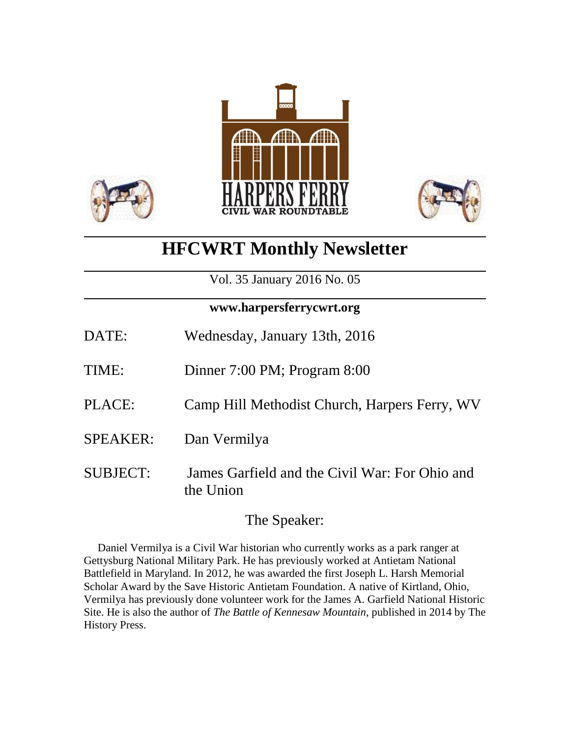



# **HFCWRT Monthly Newsletter**

Vol. 35 January 2016 No. 05

### **www.harpersferrycwrt.org**

| DATE:           | Wednesday, January 13th, 2016                               |
|-----------------|-------------------------------------------------------------|
| TIME:           | Dinner 7:00 PM; Program 8:00                                |
| PLACE:          | Camp Hill Methodist Church, Harpers Ferry, WV               |
| <b>SPEAKER:</b> | Dan Vermilya                                                |
| <b>SUBJECT:</b> | James Garfield and the Civil War: For Ohio and<br>the Union |

# The Speaker:

 Daniel Vermilya is a Civil War historian who currently works as a park ranger at Gettysburg National Military Park. He has previously worked at Antietam National Battlefield in Maryland. In 2012, he was awarded the first Joseph L. Harsh Memorial Scholar Award by the Save Historic Antietam Foundation. A native of Kirtland, Ohio, Vermilya has previously done volunteer work for the James A. Garfield National Historic Site. He is also the author of *The Battle of Kennesaw Mountain*, published in 2014 by The History Press.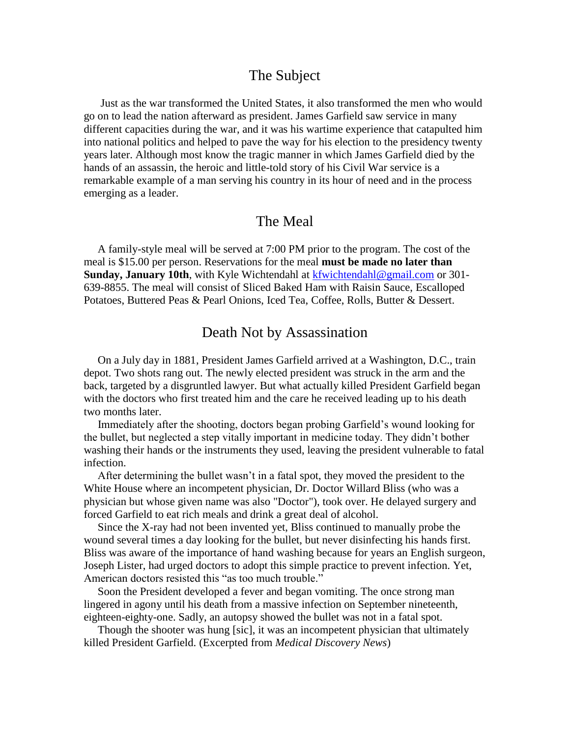#### The Subject

 Just as the war transformed the United States, it also transformed the men who would go on to lead the nation afterward as president. James Garfield saw service in many different capacities during the war, and it was his wartime experience that catapulted him into national politics and helped to pave the way for his election to the presidency twenty years later. Although most know the tragic manner in which James Garfield died by the hands of an assassin, the heroic and little-told story of his Civil War service is a remarkable example of a man serving his country in its hour of need and in the process emerging as a leader.

#### The Meal

 A family-style meal will be served at 7:00 PM prior to the program. The cost of the meal is \$15.00 per person. Reservations for the meal **must be made no later than Sunday, January 10th**, with Kyle Wichtendahl at [kfwichtendahl@gmail.com](mailto:kfwichtendahl@gmail.com) or 301- 639-8855. The meal will consist of Sliced Baked Ham with Raisin Sauce, Escalloped Potatoes, Buttered Peas & Pearl Onions, Iced Tea, Coffee, Rolls, Butter & Dessert.

#### Death Not by Assassination

 On a July day in 1881, President James Garfield arrived at a Washington, D.C., train depot. Two shots rang out. The newly elected president was struck in the arm and the back, targeted by a disgruntled lawyer. But what actually killed President Garfield began with the doctors who first treated him and the care he received leading up to his death two months later.

 Immediately after the shooting, doctors began probing Garfield's wound looking for the bullet, but neglected a step vitally important in medicine today. They didn't bother washing their hands or the instruments they used, leaving the president vulnerable to fatal infection.

 After determining the bullet wasn't in a fatal spot, they moved the president to the White House where an incompetent physician, Dr. Doctor Willard Bliss (who was a physician but whose given name was also "Doctor"), took over. He delayed surgery and forced Garfield to eat rich meals and drink a great deal of alcohol.

 Since the X-ray had not been invented yet, Bliss continued to manually probe the wound several times a day looking for the bullet, but never disinfecting his hands first. Bliss was aware of the importance of hand washing because for years an English surgeon, Joseph Lister, had urged doctors to adopt this simple practice to prevent infection. Yet, American doctors resisted this "as too much trouble."

 Soon the President developed a fever and began vomiting. The once strong man lingered in agony until his death from a massive infection on September nineteenth, eighteen-eighty-one. Sadly, an autopsy showed the bullet was not in a fatal spot.

 Though the shooter was hung [sic], it was an incompetent physician that ultimately killed President Garfield. (Excerpted from *Medical Discovery News*)